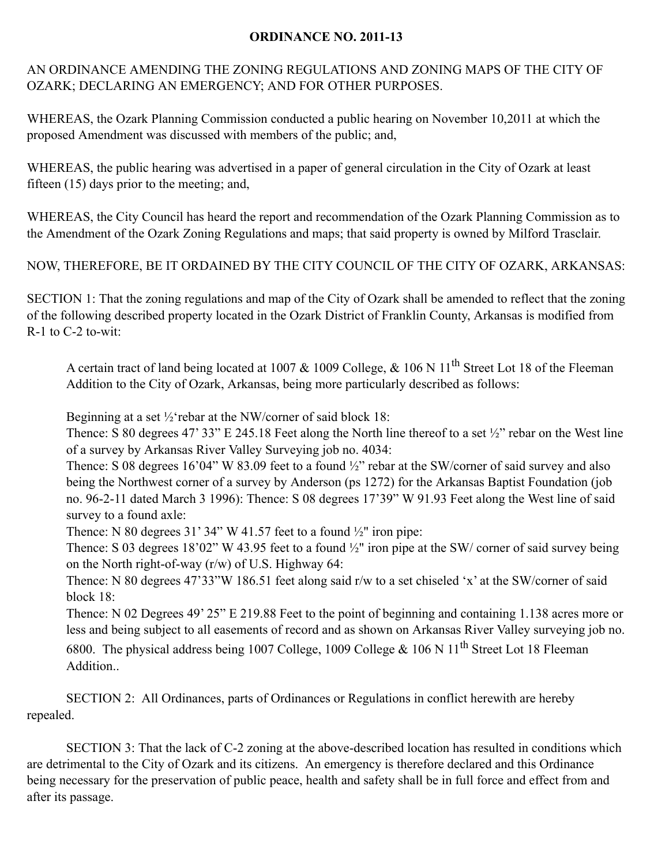## **ORDINANCE NO. 2011-13**

AN ORDINANCE AMENDING THE ZONING REGULATIONS AND ZONING MAPS OF THE CITY OF OZARK; DECLARING AN EMERGENCY; AND FOR OTHER PURPOSES.

WHEREAS, the Ozark Planning Commission conducted a public hearing on November 10,2011 at which the proposed Amendment was discussed with members of the public; and,

WHEREAS, the public hearing was advertised in a paper of general circulation in the City of Ozark at least fifteen (15) days prior to the meeting; and,

WHEREAS, the City Council has heard the report and recommendation of the Ozark Planning Commission as to the Amendment of the Ozark Zoning Regulations and maps; that said property is owned by Milford Trasclair.

NOW, THEREFORE, BE IT ORDAINED BY THE CITY COUNCIL OF THE CITY OF OZARK, ARKANSAS:

SECTION 1: That the zoning regulations and map of the City of Ozark shall be amended to reflect that the zoning of the following described property located in the Ozark District of Franklin County, Arkansas is modified from R-1 to C-2 to-wit:

A certain tract of land being located at 1007 & 1009 College, & 106 N 11<sup>th</sup> Street Lot 18 of the Fleeman Addition to the City of Ozark, Arkansas, being more particularly described as follows:

Beginning at a set ½'rebar at the NW/corner of said block 18:

Thence: S 80 degrees 47' 33" E 245.18 Feet along the North line thereof to a set  $\frac{1}{2}$ " rebar on the West line of a survey by Arkansas River Valley Surveying job no. 4034:

Thence: S 08 degrees 16'04" W 83.09 feet to a found  $\frac{1}{2}$ " rebar at the SW/corner of said survey and also being the Northwest corner of a survey by Anderson (ps 1272) for the Arkansas Baptist Foundation (job no. 96-2-11 dated March 3 1996): Thence: S 08 degrees 17'39" W 91.93 Feet along the West line of said survey to a found axle:

Thence: N 80 degrees 31' 34" W 41.57 feet to a found  $\frac{1}{2}$ " iron pipe:

Thence: S 03 degrees 18'02" W 43.95 feet to a found  $\frac{1}{2}$ " iron pipe at the SW/ corner of said survey being on the North right-of-way (r/w) of U.S. Highway 64:

Thence: N 80 degrees 47'33"W 186.51 feet along said r/w to a set chiseled 'x' at the SW/corner of said block 18:

Thence: N 02 Degrees 49' 25" E 219.88 Feet to the point of beginning and containing 1.138 acres more or less and being subject to all easements of record and as shown on Arkansas River Valley surveying job no.

6800. The physical address being 1007 College, 1009 College & 106 N 11<sup>th</sup> Street Lot 18 Fleeman Addition..

SECTION 2: All Ordinances, parts of Ordinances or Regulations in conflict herewith are hereby repealed.

SECTION 3: That the lack of C-2 zoning at the above-described location has resulted in conditions which are detrimental to the City of Ozark and its citizens. An emergency is therefore declared and this Ordinance being necessary for the preservation of public peace, health and safety shall be in full force and effect from and after its passage.